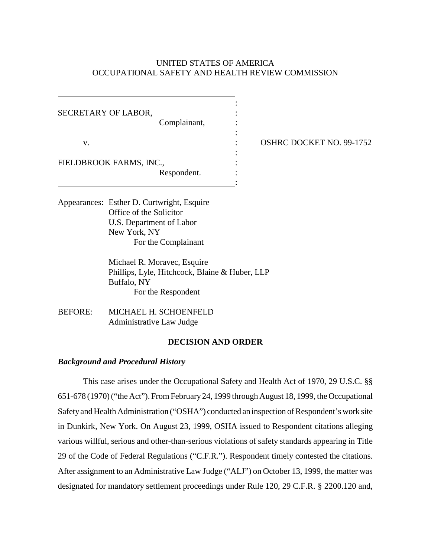# UNITED STATES OF AMERICA OCCUPATIONAL SAFETY AND HEALTH REVIEW COMMISSION

:

:

:

:

SECRETARY OF LABOR, Complainant,

v. : OSHRC DOCKET NO. 99-1752

FIELDBROOK FARMS, INC.,

Respondent. :

Appearances: Esther D. Curtwright, Esquire Office of the Solicitor U.S. Department of Labor New York, NY For the Complainant

> Michael R. Moravec, Esquire Phillips, Lyle, Hitchcock, Blaine & Huber, LLP Buffalo, NY For the Respondent

BEFORE: MICHAEL H. SCHOENFELD Administrative Law Judge

#### **DECISION AND ORDER**

## *Background and Procedural History*

This case arises under the Occupational Safety and Health Act of 1970, 29 U.S.C. §§ 651-678 (1970) ("the Act"). From February 24, 1999 through August 18, 1999, the Occupational Safety and Health Administration ("OSHA") conducted an inspection of Respondent's work site in Dunkirk, New York. On August 23, 1999, OSHA issued to Respondent citations alleging various willful, serious and other-than-serious violations of safety standards appearing in Title 29 of the Code of Federal Regulations ("C.F.R."). Respondent timely contested the citations. After assignment to an Administrative Law Judge ("ALJ") on October 13, 1999, the matter was designated for mandatory settlement proceedings under Rule 120, 29 C.F.R. § 2200.120 and,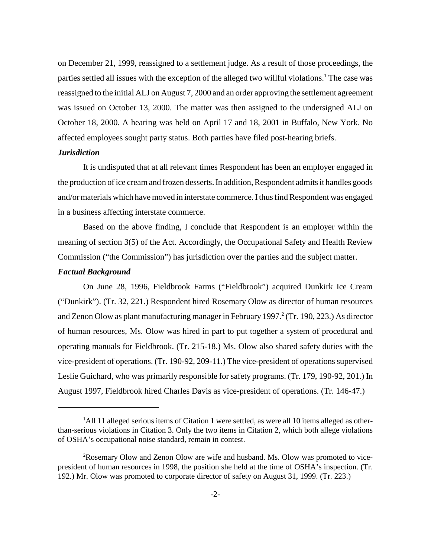on December 21, 1999, reassigned to a settlement judge. As a result of those proceedings, the parties settled all issues with the exception of the alleged two willful violations.<sup>1</sup> The case was reassigned to the initial ALJ on August 7, 2000 and an order approving the settlement agreement was issued on October 13, 2000. The matter was then assigned to the undersigned ALJ on October 18, 2000. A hearing was held on April 17 and 18, 2001 in Buffalo, New York. No affected employees sought party status. Both parties have filed post-hearing briefs.

## *Jurisdiction*

It is undisputed that at all relevant times Respondent has been an employer engaged in the production of ice cream and frozen desserts. In addition, Respondent admits it handles goods and/or materials which have moved in interstate commerce. I thus find Respondent was engaged in a business affecting interstate commerce.

Based on the above finding, I conclude that Respondent is an employer within the meaning of section 3(5) of the Act. Accordingly, the Occupational Safety and Health Review Commission ("the Commission") has jurisdiction over the parties and the subject matter.

## *Factual Background*

On June 28, 1996, Fieldbrook Farms ("Fieldbrook") acquired Dunkirk Ice Cream ("Dunkirk"). (Tr. 32, 221.) Respondent hired Rosemary Olow as director of human resources and Zenon Olow as plant manufacturing manager in February 1997.<sup>2</sup> (Tr. 190, 223.) As director of human resources, Ms. Olow was hired in part to put together a system of procedural and operating manuals for Fieldbrook. (Tr. 215-18.) Ms. Olow also shared safety duties with the vice-president of operations. (Tr. 190-92, 209-11.) The vice-president of operations supervised Leslie Guichard, who was primarily responsible for safety programs. (Tr. 179, 190-92, 201.) In August 1997, Fieldbrook hired Charles Davis as vice-president of operations. (Tr. 146-47.)

<sup>&</sup>lt;sup>1</sup>All 11 alleged serious items of Citation 1 were settled, as were all 10 items alleged as otherthan-serious violations in Citation 3. Only the two items in Citation 2, which both allege violations of OSHA's occupational noise standard, remain in contest.

<sup>&</sup>lt;sup>2</sup>Rosemary Olow and Zenon Olow are wife and husband. Ms. Olow was promoted to vicepresident of human resources in 1998, the position she held at the time of OSHA's inspection. (Tr. 192.) Mr. Olow was promoted to corporate director of safety on August 31, 1999. (Tr. 223.)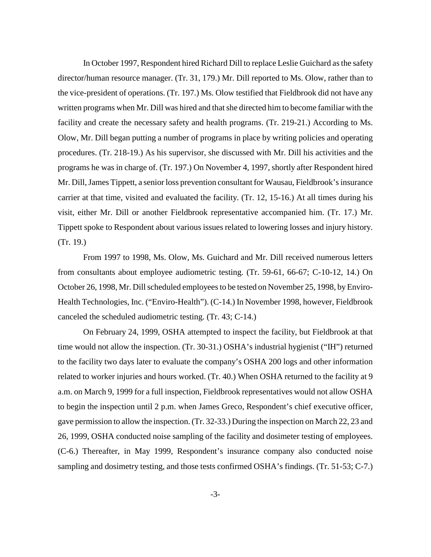In October 1997, Respondent hired Richard Dill to replace Leslie Guichard as the safety director/human resource manager. (Tr. 31, 179.) Mr. Dill reported to Ms. Olow, rather than to the vice-president of operations. (Tr. 197.) Ms. Olow testified that Fieldbrook did not have any written programs when Mr. Dill was hired and that she directed him to become familiar with the facility and create the necessary safety and health programs. (Tr. 219-21.) According to Ms. Olow, Mr. Dill began putting a number of programs in place by writing policies and operating procedures. (Tr. 218-19.) As his supervisor, she discussed with Mr. Dill his activities and the programs he was in charge of. (Tr. 197.) On November 4, 1997, shortly after Respondent hired Mr. Dill, James Tippett, a senior loss prevention consultant for Wausau, Fieldbrook's insurance carrier at that time, visited and evaluated the facility. (Tr. 12, 15-16.) At all times during his visit, either Mr. Dill or another Fieldbrook representative accompanied him. (Tr. 17.) Mr. Tippett spoke to Respondent about various issues related to lowering losses and injury history. (Tr. 19.)

From 1997 to 1998, Ms. Olow, Ms. Guichard and Mr. Dill received numerous letters from consultants about employee audiometric testing. (Tr. 59-61, 66-67; C-10-12, 14.) On October 26, 1998, Mr. Dill scheduled employees to be tested on November 25, 1998, by Enviro-Health Technologies, Inc. ("Enviro-Health"). (C-14.) In November 1998, however, Fieldbrook canceled the scheduled audiometric testing. (Tr. 43; C-14.)

On February 24, 1999, OSHA attempted to inspect the facility, but Fieldbrook at that time would not allow the inspection. (Tr. 30-31.) OSHA's industrial hygienist ("IH") returned to the facility two days later to evaluate the company's OSHA 200 logs and other information related to worker injuries and hours worked. (Tr. 40.) When OSHA returned to the facility at 9 a.m. on March 9, 1999 for a full inspection, Fieldbrook representatives would not allow OSHA to begin the inspection until 2 p.m. when James Greco, Respondent's chief executive officer, gave permission to allow the inspection. (Tr. 32-33.) During the inspection on March 22, 23 and 26, 1999, OSHA conducted noise sampling of the facility and dosimeter testing of employees. (C-6.) Thereafter, in May 1999, Respondent's insurance company also conducted noise sampling and dosimetry testing, and those tests confirmed OSHA's findings. (Tr. 51-53; C-7.)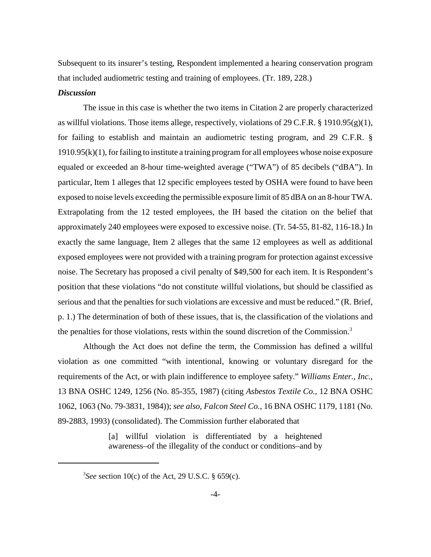Subsequent to its insurer's testing, Respondent implemented a hearing conservation program that included audiometric testing and training of employees. (Tr. 189, 228.)

#### *Discussion*

The issue in this case is whether the two items in Citation 2 are properly characterized as willful violations. Those items allege, respectively, violations of 29 C.F.R. § 1910.95(g)(1), for failing to establish and maintain an audiometric testing program, and 29 C.F.R. §  $1910.95(k)(1)$ , for failing to institute a training program for all employees whose noise exposure equaled or exceeded an 8-hour time-weighted average ("TWA") of 85 decibels ("dBA"). In particular, Item 1 alleges that 12 specific employees tested by OSHA were found to have been exposed to noise levels exceeding the permissible exposure limit of 85 dBA on an 8-hour TWA. Extrapolating from the 12 tested employees, the IH based the citation on the belief that approximately 240 employees were exposed to excessive noise. (Tr. 54-55, 81-82, 116-18.) In exactly the same language, Item 2 alleges that the same 12 employees as well as additional exposed employees were not provided with a training program for protection against excessive noise. The Secretary has proposed a civil penalty of \$49,500 for each item. It is Respondent's position that these violations "do not constitute willful violations, but should be classified as serious and that the penalties for such violations are excessive and must be reduced." (R. Brief, p. 1.) The determination of both of these issues, that is, the classification of the violations and the penalties for those violations, rests within the sound discretion of the Commission.<sup>3</sup>

Although the Act does not define the term, the Commission has defined a willful violation as one committed "with intentional, knowing or voluntary disregard for the requirements of the Act, or with plain indifference to employee safety." *Williams Enter., Inc.*, 13 BNA OSHC 1249, 1256 (No. 85-355, 1987) (citing *Asbestos Textile Co.*, 12 BNA OSHC 1062, 1063 (No. 79-3831, 1984)); *see also*, *Falcon Steel Co.*, 16 BNA OSHC 1179, 1181 (No. 89-2883, 1993) (consolidated). The Commission further elaborated that

> [a] willful violation is differentiated by a heightened awareness–of the illegality of the conduct or conditions–and by

<sup>3</sup> *See* section 10(c) of the Act, 29 U.S.C. § 659(c).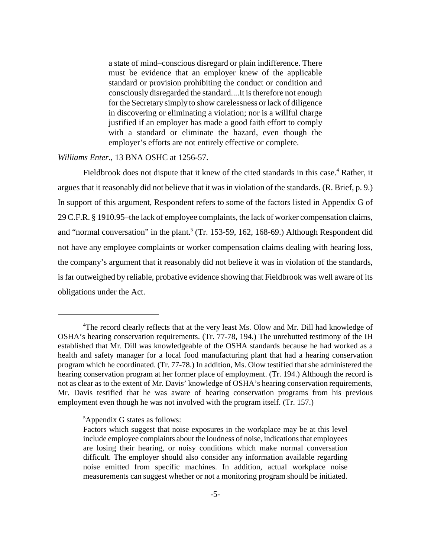a state of mind–conscious disregard or plain indifference. There must be evidence that an employer knew of the applicable standard or provision prohibiting the conduct or condition and consciously disregarded the standard....It is therefore not enough for the Secretary simply to show carelessness or lack of diligence in discovering or eliminating a violation; nor is a willful charge justified if an employer has made a good faith effort to comply with a standard or eliminate the hazard, even though the employer's efforts are not entirely effective or complete.

#### *Williams Enter.*, 13 BNA OSHC at 1256-57.

Fieldbrook does not dispute that it knew of the cited standards in this case.<sup>4</sup> Rather, it argues that it reasonably did not believe that it was in violation of the standards. (R. Brief, p. 9.) In support of this argument, Respondent refers to some of the factors listed in Appendix G of 29 C.F.R. § 1910.95–the lack of employee complaints, the lack of worker compensation claims, and "normal conversation" in the plant.<sup>5</sup> (Tr. 153-59, 162, 168-69.) Although Respondent did not have any employee complaints or worker compensation claims dealing with hearing loss, the company's argument that it reasonably did not believe it was in violation of the standards, is far outweighed by reliable, probative evidence showing that Fieldbrook was well aware of its obligations under the Act.

#### 5 Appendix G states as follows:

<sup>&</sup>lt;sup>4</sup>The record clearly reflects that at the very least Ms. Olow and Mr. Dill had knowledge of OSHA's hearing conservation requirements. (Tr. 77-78, 194.) The unrebutted testimony of the IH established that Mr. Dill was knowledgeable of the OSHA standards because he had worked as a health and safety manager for a local food manufacturing plant that had a hearing conservation program which he coordinated. (Tr. 77-78.) In addition, Ms. Olow testified that she administered the hearing conservation program at her former place of employment. (Tr. 194.) Although the record is not as clear as to the extent of Mr. Davis' knowledge of OSHA's hearing conservation requirements, Mr. Davis testified that he was aware of hearing conservation programs from his previous employment even though he was not involved with the program itself. (Tr. 157.)

Factors which suggest that noise exposures in the workplace may be at this level include employee complaints about the loudness of noise, indications that employees are losing their hearing, or noisy conditions which make normal conversation difficult. The employer should also consider any information available regarding noise emitted from specific machines. In addition, actual workplace noise measurements can suggest whether or not a monitoring program should be initiated.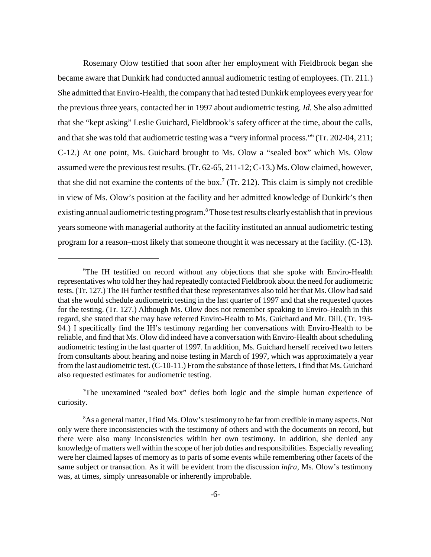Rosemary Olow testified that soon after her employment with Fieldbrook began she became aware that Dunkirk had conducted annual audiometric testing of employees. (Tr. 211.) She admitted that Enviro-Health, the company that had tested Dunkirk employees every year for the previous three years, contacted her in 1997 about audiometric testing. *Id.* She also admitted that she "kept asking" Leslie Guichard, Fieldbrook's safety officer at the time, about the calls, and that she was told that audiometric testing was a "very informal process."6 (Tr. 202-04, 211; C-12.) At one point, Ms. Guichard brought to Ms. Olow a "sealed box" which Ms. Olow assumed were the previous test results. (Tr. 62-65, 211-12; C-13.) Ms. Olow claimed, however, that she did not examine the contents of the box.<sup>7</sup> (Tr. 212). This claim is simply not credible in view of Ms. Olow's position at the facility and her admitted knowledge of Dunkirk's then existing annual audiometric testing program.<sup>8</sup> Those test results clearly establish that in previous years someone with managerial authority at the facility instituted an annual audiometric testing program for a reason–most likely that someone thought it was necessary at the facility. (C-13).

<sup>6</sup> The IH testified on record without any objections that she spoke with Enviro-Health representatives who told her they had repeatedly contacted Fieldbrook about the need for audiometric tests. (Tr. 127.) The IH further testified that these representatives also told her that Ms. Olow had said that she would schedule audiometric testing in the last quarter of 1997 and that she requested quotes for the testing. (Tr. 127.) Although Ms. Olow does not remember speaking to Enviro-Health in this regard, she stated that she may have referred Enviro-Health to Ms. Guichard and Mr. Dill. (Tr. 193- 94.) I specifically find the IH's testimony regarding her conversations with Enviro-Health to be reliable, and find that Ms. Olow did indeed have a conversation with Enviro-Health about scheduling audiometric testing in the last quarter of 1997. In addition, Ms. Guichard herself received two letters from consultants about hearing and noise testing in March of 1997, which was approximately a year from the last audiometric test. (C-10-11.) From the substance of those letters, I find that Ms. Guichard also requested estimates for audiometric testing.

<sup>&</sup>lt;sup>7</sup>The unexamined "sealed box" defies both logic and the simple human experience of curiosity.

<sup>&</sup>lt;sup>8</sup>As a general matter, I find Ms. Olow's testimony to be far from credible in many aspects. Not only were there inconsistencies with the testimony of others and with the documents on record, but there were also many inconsistencies within her own testimony. In addition, she denied any knowledge of matters well within the scope of her job duties and responsibilities. Especially revealing were her claimed lapses of memory as to parts of some events while remembering other facets of the same subject or transaction. As it will be evident from the discussion *infra*, Ms. Olow's testimony was, at times, simply unreasonable or inherently improbable.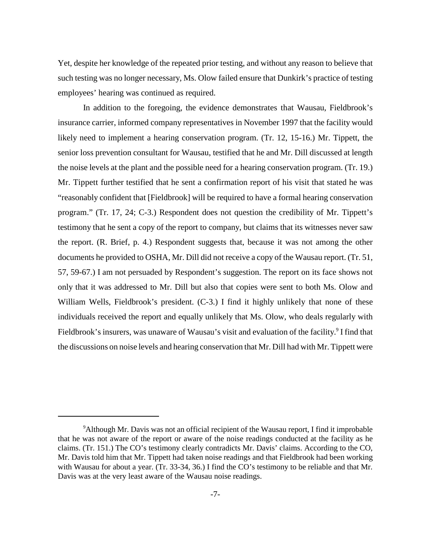Yet, despite her knowledge of the repeated prior testing, and without any reason to believe that such testing was no longer necessary, Ms. Olow failed ensure that Dunkirk's practice of testing employees' hearing was continued as required.

In addition to the foregoing, the evidence demonstrates that Wausau, Fieldbrook's insurance carrier, informed company representatives in November 1997 that the facility would likely need to implement a hearing conservation program. (Tr. 12, 15-16.) Mr. Tippett, the senior loss prevention consultant for Wausau, testified that he and Mr. Dill discussed at length the noise levels at the plant and the possible need for a hearing conservation program. (Tr. 19.) Mr. Tippett further testified that he sent a confirmation report of his visit that stated he was "reasonably confident that [Fieldbrook] will be required to have a formal hearing conservation program." (Tr. 17, 24; C-3.) Respondent does not question the credibility of Mr. Tippett's testimony that he sent a copy of the report to company, but claims that its witnesses never saw the report. (R. Brief, p. 4.) Respondent suggests that, because it was not among the other documents he provided to OSHA, Mr. Dill did not receive a copy of the Wausau report. (Tr. 51, 57, 59-67.) I am not persuaded by Respondent's suggestion. The report on its face shows not only that it was addressed to Mr. Dill but also that copies were sent to both Ms. Olow and William Wells, Fieldbrook's president. (C-3.) I find it highly unlikely that none of these individuals received the report and equally unlikely that Ms. Olow, who deals regularly with Fieldbrook's insurers, was unaware of Wausau's visit and evaluation of the facility.<sup>9</sup> I find that the discussions on noise levels and hearing conservation that Mr. Dill had with Mr. Tippett were

<sup>&</sup>lt;sup>9</sup>Although Mr. Davis was not an official recipient of the Wausau report, I find it improbable that he was not aware of the report or aware of the noise readings conducted at the facility as he claims. (Tr. 151.) The CO's testimony clearly contradicts Mr. Davis' claims. According to the CO, Mr. Davis told him that Mr. Tippett had taken noise readings and that Fieldbrook had been working with Wausau for about a year. (Tr. 33-34, 36.) I find the CO's testimony to be reliable and that Mr. Davis was at the very least aware of the Wausau noise readings.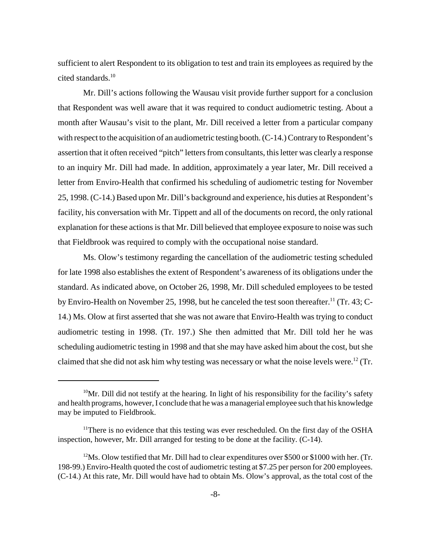sufficient to alert Respondent to its obligation to test and train its employees as required by the cited standards.<sup>10</sup>

Mr. Dill's actions following the Wausau visit provide further support for a conclusion that Respondent was well aware that it was required to conduct audiometric testing. About a month after Wausau's visit to the plant, Mr. Dill received a letter from a particular company with respect to the acquisition of an audiometric testing booth. (C-14.) Contrary to Respondent's assertion that it often received "pitch" letters from consultants, this letter was clearly a response to an inquiry Mr. Dill had made. In addition, approximately a year later, Mr. Dill received a letter from Enviro-Health that confirmed his scheduling of audiometric testing for November 25, 1998. (C-14.) Based upon Mr. Dill's background and experience, his duties at Respondent's facility, his conversation with Mr. Tippett and all of the documents on record, the only rational explanation for these actions is that Mr. Dill believed that employee exposure to noise was such that Fieldbrook was required to comply with the occupational noise standard.

Ms. Olow's testimony regarding the cancellation of the audiometric testing scheduled for late 1998 also establishes the extent of Respondent's awareness of its obligations under the standard. As indicated above, on October 26, 1998, Mr. Dill scheduled employees to be tested by Enviro-Health on November 25, 1998, but he canceled the test soon thereafter.<sup>11</sup> (Tr. 43; C-14.) Ms. Olow at first asserted that she was not aware that Enviro-Health was trying to conduct audiometric testing in 1998. (Tr. 197.) She then admitted that Mr. Dill told her he was scheduling audiometric testing in 1998 and that she may have asked him about the cost, but she claimed that she did not ask him why testing was necessary or what the noise levels were.<sup>12</sup> (Tr.

 $10$ Mr. Dill did not testify at the hearing. In light of his responsibility for the facility's safety and health programs, however, I conclude that he was a managerial employee such that his knowledge may be imputed to Fieldbrook.

<sup>&</sup>lt;sup>11</sup>There is no evidence that this testing was ever rescheduled. On the first day of the OSHA inspection, however, Mr. Dill arranged for testing to be done at the facility. (C-14).

 $12$ Ms. Olow testified that Mr. Dill had to clear expenditures over \$500 or \$1000 with her. (Tr. 198-99.) Enviro-Health quoted the cost of audiometric testing at \$7.25 per person for 200 employees. (C-14.) At this rate, Mr. Dill would have had to obtain Ms. Olow's approval, as the total cost of the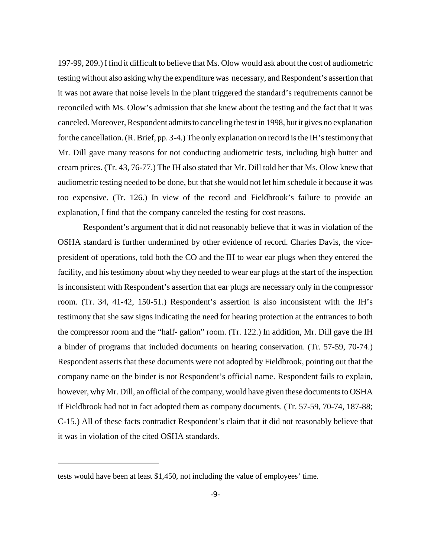197-99, 209.) Ifind it difficult to believe that Ms. Olow would ask about the cost of audiometric testing without also asking why the expenditure was necessary, and Respondent's assertion that it was not aware that noise levels in the plant triggered the standard's requirements cannot be reconciled with Ms. Olow's admission that she knew about the testing and the fact that it was canceled. Moreover, Respondent admits to canceling the test in 1998, but it gives no explanation for the cancellation. (R. Brief, pp. 3-4.) The only explanation on record is the IH's testimony that Mr. Dill gave many reasons for not conducting audiometric tests, including high butter and cream prices. (Tr. 43, 76-77.) The IH also stated that Mr. Dill told her that Ms. Olow knew that audiometric testing needed to be done, but that she would not let him schedule it because it was too expensive. (Tr. 126.) In view of the record and Fieldbrook's failure to provide an explanation, I find that the company canceled the testing for cost reasons.

Respondent's argument that it did not reasonably believe that it was in violation of the OSHA standard is further undermined by other evidence of record. Charles Davis, the vicepresident of operations, told both the CO and the IH to wear ear plugs when they entered the facility, and his testimony about why they needed to wear ear plugs at the start of the inspection is inconsistent with Respondent's assertion that ear plugs are necessary only in the compressor room. (Tr. 34, 41-42, 150-51.) Respondent's assertion is also inconsistent with the IH's testimony that she saw signs indicating the need for hearing protection at the entrances to both the compressor room and the "half- gallon" room. (Tr. 122.) In addition, Mr. Dill gave the IH a binder of programs that included documents on hearing conservation. (Tr. 57-59, 70-74.) Respondent asserts that these documents were not adopted by Fieldbrook, pointing out that the company name on the binder is not Respondent's official name. Respondent fails to explain, however, whyMr. Dill, an official of the company, would have given these documents to OSHA if Fieldbrook had not in fact adopted them as company documents. (Tr. 57-59, 70-74, 187-88; C-15.) All of these facts contradict Respondent's claim that it did not reasonably believe that it was in violation of the cited OSHA standards.

tests would have been at least \$1,450, not including the value of employees' time.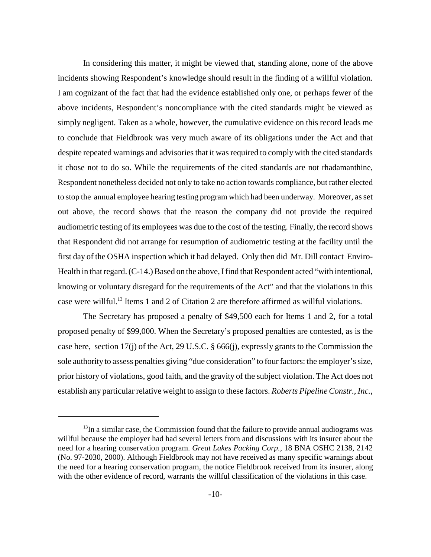In considering this matter, it might be viewed that, standing alone, none of the above incidents showing Respondent's knowledge should result in the finding of a willful violation. I am cognizant of the fact that had the evidence established only one, or perhaps fewer of the above incidents, Respondent's noncompliance with the cited standards might be viewed as simply negligent. Taken as a whole, however, the cumulative evidence on this record leads me to conclude that Fieldbrook was very much aware of its obligations under the Act and that despite repeated warnings and advisories that it was required to comply with the cited standards it chose not to do so. While the requirements of the cited standards are not rhadamanthine, Respondent nonetheless decided not only to take no action towards compliance, but rather elected to stop the annual employee hearing testing program which had been underway. Moreover, as set out above, the record shows that the reason the company did not provide the required audiometric testing of its employees was due to the cost of the testing. Finally, the record shows that Respondent did not arrange for resumption of audiometric testing at the facility until the first day of the OSHA inspection which it had delayed. Only then did Mr. Dill contact Enviro-Health in that regard. (C-14.) Based on the above, I find that Respondent acted "with intentional, knowing or voluntary disregard for the requirements of the Act" and that the violations in this case were willful.13 Items 1 and 2 of Citation 2 are therefore affirmed as willful violations.

The Secretary has proposed a penalty of \$49,500 each for Items 1 and 2, for a total proposed penalty of \$99,000. When the Secretary's proposed penalties are contested, as is the case here, section 17(j) of the Act, 29 U.S.C. § 666(j), expressly grants to the Commission the sole authority to assess penalties giving "due consideration" to fourfactors: the employer's size, prior history of violations, good faith, and the gravity of the subject violation. The Act does not establish any particular relative weight to assign to these factors. *Roberts Pipeline Constr., Inc.*,

 $<sup>13</sup>$ In a similar case, the Commission found that the failure to provide annual audiograms was</sup> willful because the employer had had several letters from and discussions with its insurer about the need for a hearing conservation program. *Great Lakes Packing Corp.*, 18 BNA OSHC 2138, 2142 (No. 97-2030, 2000). Although Fieldbrook may not have received as many specific warnings about the need for a hearing conservation program, the notice Fieldbrook received from its insurer, along with the other evidence of record, warrants the willful classification of the violations in this case.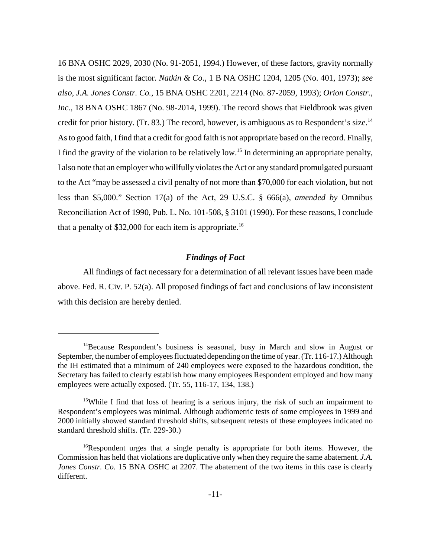16 BNA OSHC 2029, 2030 (No. 91-2051, 1994.) However, of these factors, gravity normally is the most significant factor. *Natkin & Co.*, 1 B NA OSHC 1204, 1205 (No. 401, 1973); *see also*, *J.A. Jones Constr. Co.*, 15 BNA OSHC 2201, 2214 (No. 87-2059, 1993); *Orion Constr., Inc.*, 18 BNA OSHC 1867 (No. 98-2014, 1999). The record shows that Fieldbrook was given credit for prior history. (Tr. 83.) The record, however, is ambiguous as to Respondent's size.<sup>14</sup> As to good faith, I find that a credit for good faith is not appropriate based on the record. Finally, I find the gravity of the violation to be relatively low.15 In determining an appropriate penalty, I also note that an employer who willfully violates the Act or any standard promulgated pursuant to the Act "may be assessed a civil penalty of not more than \$70,000 for each violation, but not less than \$5,000." Section 17(a) of the Act, 29 U.S.C. § 666(a), *amended by* Omnibus Reconciliation Act of 1990, Pub. L. No. 101-508, § 3101 (1990). For these reasons, I conclude that a penalty of \$32,000 for each item is appropriate.<sup>16</sup>

#### *Findings of Fact*

All findings of fact necessary for a determination of all relevant issues have been made above. Fed. R. Civ. P. 52(a). All proposed findings of fact and conclusions of law inconsistent with this decision are hereby denied.

<sup>14</sup>Because Respondent's business is seasonal, busy in March and slow in August or September, the number of employees fluctuated depending on the time of year. (Tr. 116-17.) Although the IH estimated that a minimum of 240 employees were exposed to the hazardous condition, the Secretary has failed to clearly establish how many employees Respondent employed and how many employees were actually exposed. (Tr. 55, 116-17, 134, 138.)

<sup>&</sup>lt;sup>15</sup>While I find that loss of hearing is a serious injury, the risk of such an impairment to Respondent's employees was minimal. Although audiometric tests of some employees in 1999 and 2000 initially showed standard threshold shifts, subsequent retests of these employees indicated no standard threshold shifts. (Tr. 229-30.)

 $16$ Respondent urges that a single penalty is appropriate for both items. However, the Commission has held that violations are duplicative only when they require the same abatement. *J.A. Jones Constr. Co.* 15 BNA OSHC at 2207. The abatement of the two items in this case is clearly different.